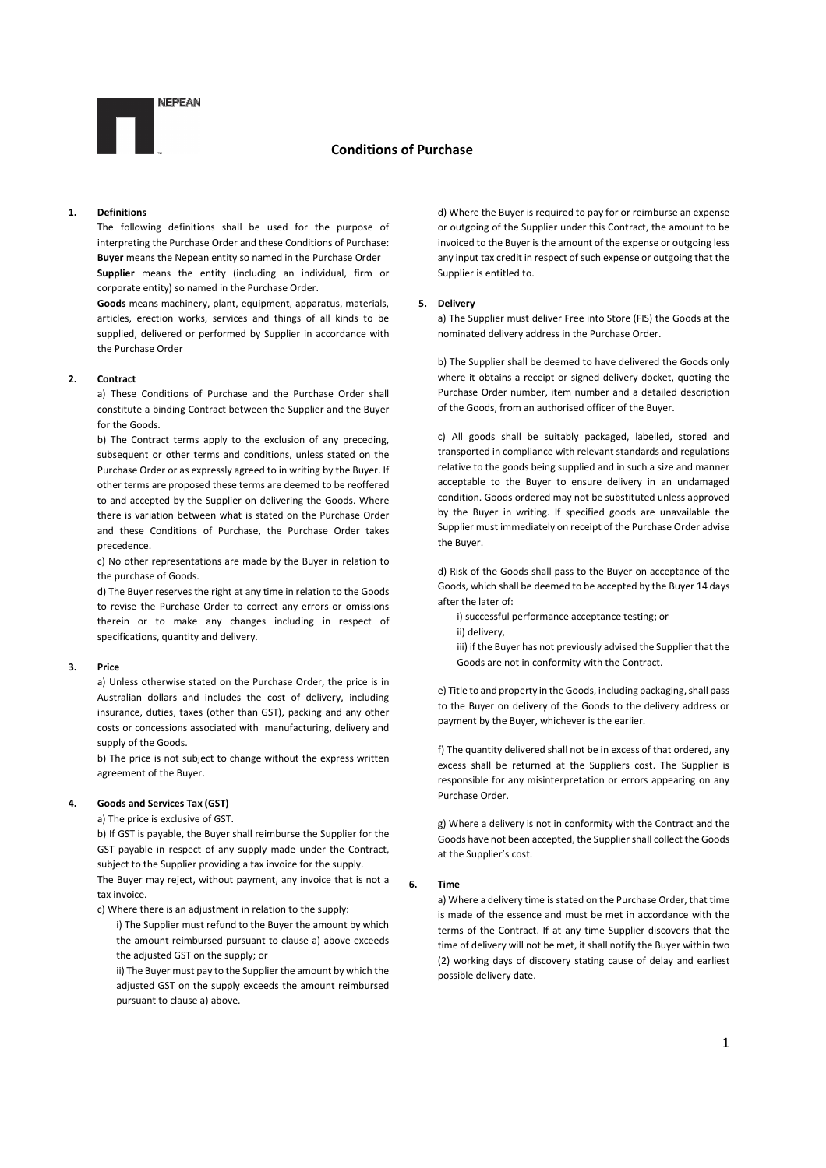

### 1. Definitions

The following definitions shall be used for the purpose of interpreting the Purchase Order and these Conditions of Purchase: Buyer means the Nepean entity so named in the Purchase Order Supplier means the entity (including an individual, firm or corporate entity) so named in the Purchase Order.

Goods means machinery, plant, equipment, apparatus, materials, articles, erection works, services and things of all kinds to be supplied, delivered or performed by Supplier in accordance with the Purchase Order

## 2. Contract

a) These Conditions of Purchase and the Purchase Order shall constitute a binding Contract between the Supplier and the Buyer for the Goods.

b) The Contract terms apply to the exclusion of any preceding, subsequent or other terms and conditions, unless stated on the Purchase Order or as expressly agreed to in writing by the Buyer. If other terms are proposed these terms are deemed to be reoffered to and accepted by the Supplier on delivering the Goods. Where there is variation between what is stated on the Purchase Order and these Conditions of Purchase, the Purchase Order takes precedence.

c) No other representations are made by the Buyer in relation to the purchase of Goods.

d) The Buyer reserves the right at any time in relation to the Goods to revise the Purchase Order to correct any errors or omissions therein or to make any changes including in respect of specifications, quantity and delivery.

### 3. Price

a) Unless otherwise stated on the Purchase Order, the price is in Australian dollars and includes the cost of delivery, including insurance, duties, taxes (other than GST), packing and any other costs or concessions associated with manufacturing, delivery and supply of the Goods.

b) The price is not subject to change without the express written agreement of the Buyer.

## 4. Goods and Services Tax (GST)

tax invoice.

a) The price is exclusive of GST.

b) If GST is payable, the Buyer shall reimburse the Supplier for the GST payable in respect of any supply made under the Contract, subject to the Supplier providing a tax invoice for the supply. The Buyer may reject, without payment, any invoice that is not a

c) Where there is an adjustment in relation to the supply:

i) The Supplier must refund to the Buyer the amount by which the amount reimbursed pursuant to clause a) above exceeds the adjusted GST on the supply; or

ii) The Buyer must pay to the Supplier the amount by which the adjusted GST on the supply exceeds the amount reimbursed pursuant to clause a) above.

d) Where the Buyer is required to pay for or reimburse an expense or outgoing of the Supplier under this Contract, the amount to be invoiced to the Buyer is the amount of the expense or outgoing less any input tax credit in respect of such expense or outgoing that the Supplier is entitled to.

## 5. Delivery

a) The Supplier must deliver Free into Store (FIS) the Goods at the nominated delivery address in the Purchase Order.

b) The Supplier shall be deemed to have delivered the Goods only where it obtains a receipt or signed delivery docket, quoting the Purchase Order number, item number and a detailed description of the Goods, from an authorised officer of the Buyer.

c) All goods shall be suitably packaged, labelled, stored and transported in compliance with relevant standards and regulations relative to the goods being supplied and in such a size and manner acceptable to the Buyer to ensure delivery in an undamaged condition. Goods ordered may not be substituted unless approved by the Buyer in writing. If specified goods are unavailable the Supplier must immediately on receipt of the Purchase Order advise the Buyer.

d) Risk of the Goods shall pass to the Buyer on acceptance of the Goods, which shall be deemed to be accepted by the Buyer 14 days after the later of:

i) successful performance acceptance testing; or

ii) delivery,

iii) if the Buyer has not previously advised the Supplier that the Goods are not in conformity with the Contract.

e) Title to and property in the Goods, including packaging, shall pass to the Buyer on delivery of the Goods to the delivery address or payment by the Buyer, whichever is the earlier.

f) The quantity delivered shall not be in excess of that ordered, any excess shall be returned at the Suppliers cost. The Supplier is responsible for any misinterpretation or errors appearing on any Purchase Order.

g) Where a delivery is not in conformity with the Contract and the Goods have not been accepted, the Supplier shall collect the Goods at the Supplier's cost.

#### 6. Time

a) Where a delivery time is stated on the Purchase Order, that time is made of the essence and must be met in accordance with the terms of the Contract. If at any time Supplier discovers that the time of delivery will not be met, it shall notify the Buyer within two (2) working days of discovery stating cause of delay and earliest possible delivery date.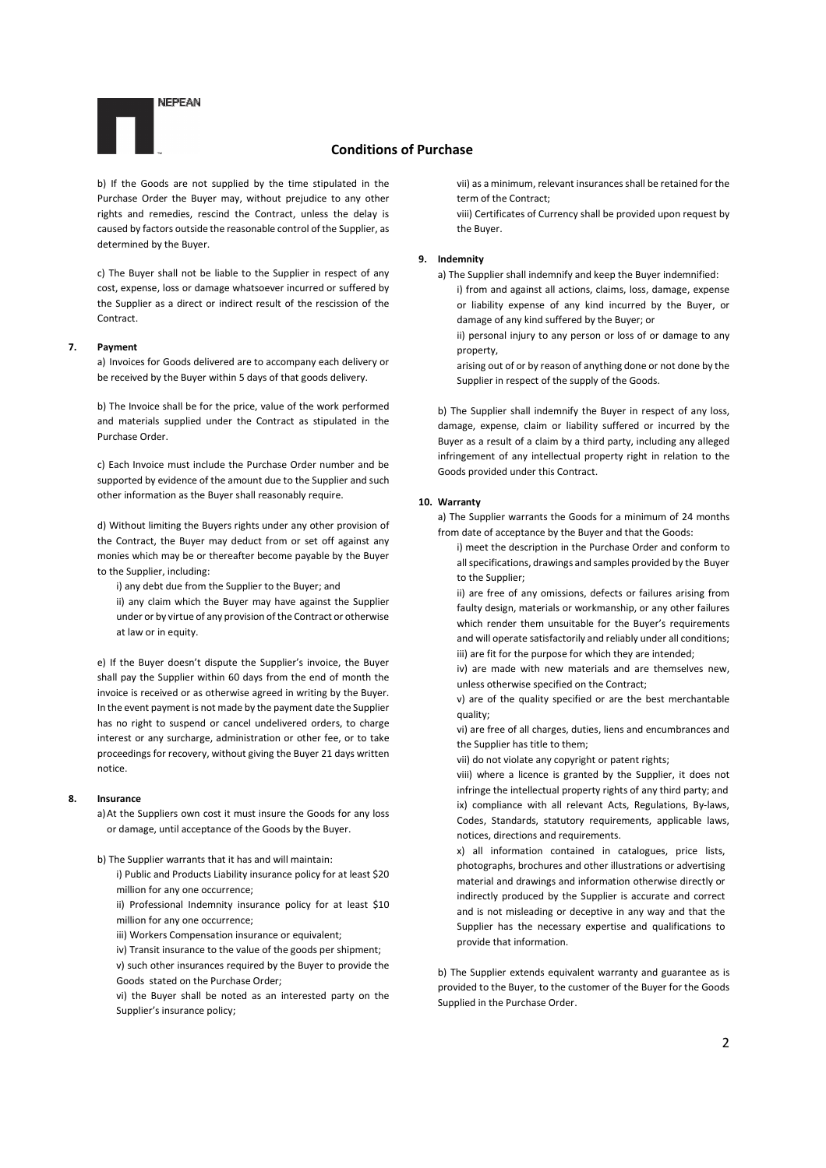

b) If the Goods are not supplied by the time stipulated in the Purchase Order the Buyer may, without prejudice to any other rights and remedies, rescind the Contract, unless the delay is caused by factors outside the reasonable control of the Supplier, as determined by the Buyer.

c) The Buyer shall not be liable to the Supplier in respect of any cost, expense, loss or damage whatsoever incurred or suffered by the Supplier as a direct or indirect result of the rescission of the Contract.

#### 7. Payment

a) Invoices for Goods delivered are to accompany each delivery or be received by the Buyer within 5 days of that goods delivery.

b) The Invoice shall be for the price, value of the work performed and materials supplied under the Contract as stipulated in the Purchase Order.

c) Each Invoice must include the Purchase Order number and be supported by evidence of the amount due to the Supplier and such other information as the Buyer shall reasonably require.

d) Without limiting the Buyers rights under any other provision of the Contract, the Buyer may deduct from or set off against any monies which may be or thereafter become payable by the Buyer to the Supplier, including:

i) any debt due from the Supplier to the Buyer; and

ii) any claim which the Buyer may have against the Supplier under or by virtue of any provision of the Contract or otherwise at law or in equity.

e) If the Buyer doesn't dispute the Supplier's invoice, the Buyer shall pay the Supplier within 60 days from the end of month the invoice is received or as otherwise agreed in writing by the Buyer. In the event payment is not made by the payment date the Supplier has no right to suspend or cancel undelivered orders, to charge interest or any surcharge, administration or other fee, or to take proceedings for recovery, without giving the Buyer 21 days written notice.

## 8. Insurance

a)At the Suppliers own cost it must insure the Goods for any loss or damage, until acceptance of the Goods by the Buyer.

b) The Supplier warrants that it has and will maintain:

i) Public and Products Liability insurance policy for at least \$20 million for any one occurrence;

ii) Professional Indemnity insurance policy for at least \$10 million for any one occurrence;

iii) Workers Compensation insurance or equivalent:

iv) Transit insurance to the value of the goods per shipment;

v) such other insurances required by the Buyer to provide the Goods stated on the Purchase Order;

vi) the Buyer shall be noted as an interested party on the Supplier's insurance policy;

vii) as a minimum, relevant insurances shall be retained for the term of the Contract;

viii) Certificates of Currency shall be provided upon request by the Buyer.

#### 9. Indemnity

a) The Supplier shall indemnify and keep the Buyer indemnified: i) from and against all actions, claims, loss, damage, expense or liability expense of any kind incurred by the Buyer, or damage of any kind suffered by the Buyer; or

ii) personal injury to any person or loss of or damage to any property,

arising out of or by reason of anything done or not done by the Supplier in respect of the supply of the Goods.

b) The Supplier shall indemnify the Buyer in respect of any loss, damage, expense, claim or liability suffered or incurred by the Buyer as a result of a claim by a third party, including any alleged infringement of any intellectual property right in relation to the Goods provided under this Contract.

#### 10. Warranty

a) The Supplier warrants the Goods for a minimum of 24 months from date of acceptance by the Buyer and that the Goods:

i) meet the description in the Purchase Order and conform to all specifications, drawings and samples provided by the Buyer to the Supplier;

ii) are free of any omissions, defects or failures arising from faulty design, materials or workmanship, or any other failures which render them unsuitable for the Buyer's requirements and will operate satisfactorily and reliably under all conditions; iii) are fit for the purpose for which they are intended;

iv) are made with new materials and are themselves new, unless otherwise specified on the Contract;

v) are of the quality specified or are the best merchantable quality;

vi) are free of all charges, duties, liens and encumbrances and the Supplier has title to them;

vii) do not violate any copyright or patent rights;

viii) where a licence is granted by the Supplier, it does not infringe the intellectual property rights of any third party; and ix) compliance with all relevant Acts, Regulations, By-laws, Codes, Standards, statutory requirements, applicable laws, notices, directions and requirements.

x) all information contained in catalogues, price lists, photographs, brochures and other illustrations or advertising material and drawings and information otherwise directly or indirectly produced by the Supplier is accurate and correct and is not misleading or deceptive in any way and that the Supplier has the necessary expertise and qualifications to provide that information.

b) The Supplier extends equivalent warranty and guarantee as is provided to the Buyer, to the customer of the Buyer for the Goods Supplied in the Purchase Order.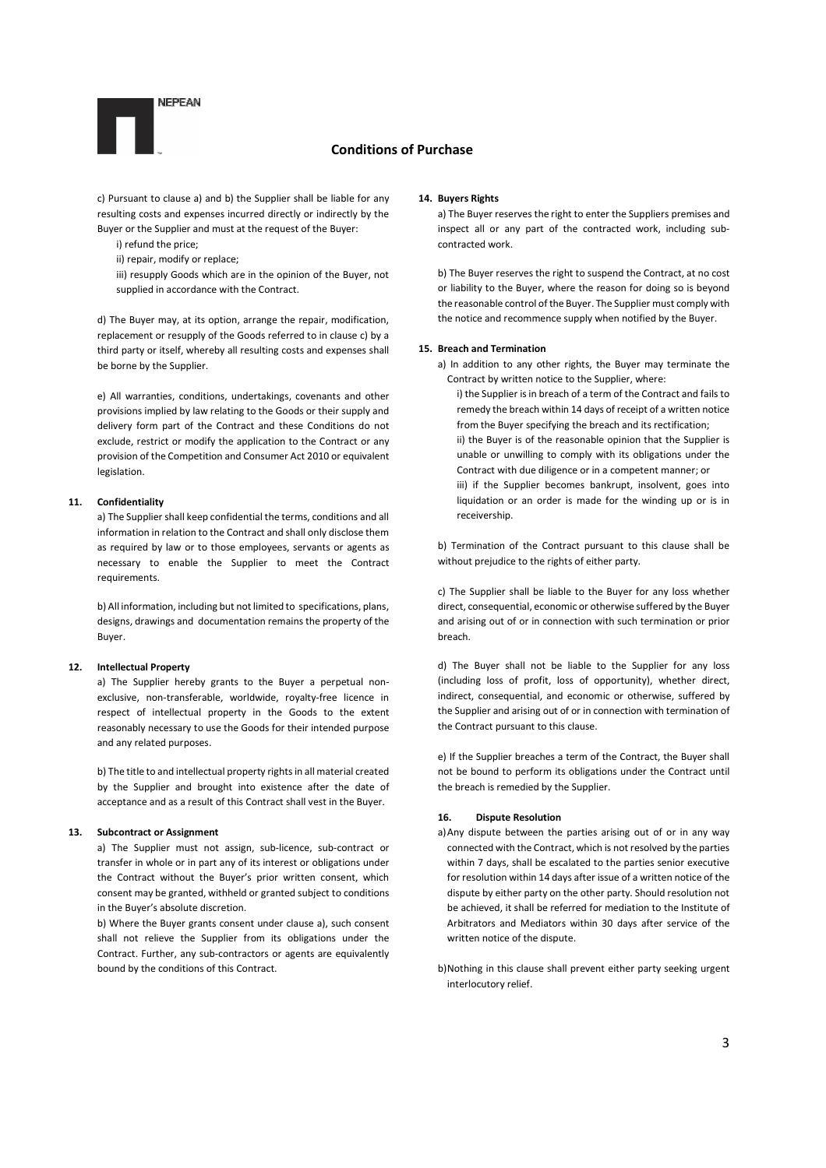

c) Pursuant to clause a) and b) the Supplier shall be liable for any resulting costs and expenses incurred directly or indirectly by the Buyer or the Supplier and must at the request of the Buyer:

- i) refund the price;
- ii) repair, modify or replace;
- iii) resupply Goods which are in the opinion of the Buyer, not supplied in accordance with the Contract.

d) The Buyer may, at its option, arrange the repair, modification, replacement or resupply of the Goods referred to in clause c) by a third party or itself, whereby all resulting costs and expenses shall be borne by the Supplier.

e) All warranties, conditions, undertakings, covenants and other provisions implied by law relating to the Goods or their supply and delivery form part of the Contract and these Conditions do not exclude, restrict or modify the application to the Contract or any provision of the Competition and Consumer Act 2010 or equivalent legislation.

### 11. Confidentiality

a) The Supplier shall keep confidential the terms, conditions and all information in relation to the Contract and shall only disclose them as required by law or to those employees, servants or agents as necessary to enable the Supplier to meet the Contract requirements.

b) All information, including but not limited to specifications, plans, designs, drawings and documentation remains the property of the Buyer.

### 12. Intellectual Property

a) The Supplier hereby grants to the Buyer a perpetual nonexclusive, non-transferable, worldwide, royalty-free licence in respect of intellectual property in the Goods to the extent reasonably necessary to use the Goods for their intended purpose and any related purposes.

b) The title to and intellectual property rights in all material created by the Supplier and brought into existence after the date of acceptance and as a result of this Contract shall vest in the Buyer.

### 13. Subcontract or Assignment

a) The Supplier must not assign, sub-licence, sub-contract or transfer in whole or in part any of its interest or obligations under the Contract without the Buyer's prior written consent, which consent may be granted, withheld or granted subject to conditions in the Buyer's absolute discretion.

b) Where the Buyer grants consent under clause a), such consent shall not relieve the Supplier from its obligations under the Contract. Further, any sub-contractors or agents are equivalently bound by the conditions of this Contract.

#### 14. Buyers Rights

a) The Buyer reserves the right to enter the Suppliers premises and inspect all or any part of the contracted work, including subcontracted work.

b) The Buyer reserves the right to suspend the Contract, at no cost or liability to the Buyer, where the reason for doing so is beyond the reasonable control of the Buyer. The Supplier must comply with the notice and recommence supply when notified by the Buyer.

#### 15. Breach and Termination

- a) In addition to any other rights, the Buyer may terminate the Contract by written notice to the Supplier, where:
	- i) the Supplier is in breach of a term of the Contract and fails to remedy the breach within 14 days of receipt of a written notice from the Buyer specifying the breach and its rectification; ii) the Buyer is of the reasonable opinion that the Supplier is unable or unwilling to comply with its obligations under the Contract with due diligence or in a competent manner; or iii) if the Supplier becomes bankrupt, insolvent, goes into liquidation or an order is made for the winding up or is in receivership.

b) Termination of the Contract pursuant to this clause shall be without prejudice to the rights of either party.

c) The Supplier shall be liable to the Buyer for any loss whether direct, consequential, economic or otherwise suffered by the Buyer and arising out of or in connection with such termination or prior breach.

d) The Buyer shall not be liable to the Supplier for any loss (including loss of profit, loss of opportunity), whether direct, indirect, consequential, and economic or otherwise, suffered by the Supplier and arising out of or in connection with termination of the Contract pursuant to this clause.

e) If the Supplier breaches a term of the Contract, the Buyer shall not be bound to perform its obligations under the Contract until the breach is remedied by the Supplier.

## 16. Dispute Resolution

- a)Any dispute between the parties arising out of or in any way connected with the Contract, which is not resolved by the parties within 7 days, shall be escalated to the parties senior executive for resolution within 14 days after issue of a written notice of the dispute by either party on the other party. Should resolution not be achieved, it shall be referred for mediation to the Institute of Arbitrators and Mediators within 30 days after service of the written notice of the dispute.
- b)Nothing in this clause shall prevent either party seeking urgent interlocutory relief.